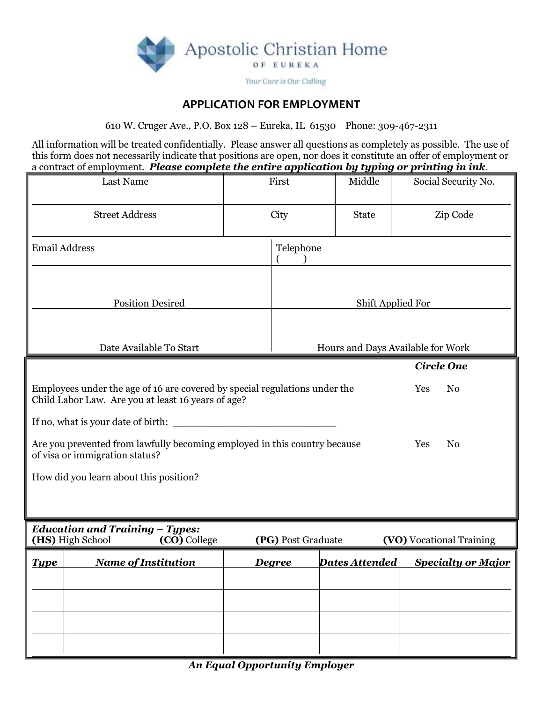

## **APPLICATION FOR EMPLOYMENT**

610 W. Cruger Ave., P.O. Box 128 – Eureka, IL 61530 Phone: 309-467-2311

All information will be treated confidentially. Please answer all questions as completely as possible. The use of this form does not necessarily indicate that positions are open, nor does it constitute an offer of employment or a contract of employment. *Please complete the entire application by typing or printing in ink*.

|                                                                                                                                                                                                                                                                                                                                                                                                        | <b>Last Name</b>           |  | First                    | Middle                            | -- ⊸ູ<br>Social Security No. |  |  |  |
|--------------------------------------------------------------------------------------------------------------------------------------------------------------------------------------------------------------------------------------------------------------------------------------------------------------------------------------------------------------------------------------------------------|----------------------------|--|--------------------------|-----------------------------------|------------------------------|--|--|--|
|                                                                                                                                                                                                                                                                                                                                                                                                        | <b>Street Address</b>      |  | City                     | <b>State</b>                      | Zip Code                     |  |  |  |
| <b>Email Address</b>                                                                                                                                                                                                                                                                                                                                                                                   |                            |  | Telephone                |                                   |                              |  |  |  |
| <b>Position Desired</b>                                                                                                                                                                                                                                                                                                                                                                                |                            |  | <b>Shift Applied For</b> |                                   |                              |  |  |  |
|                                                                                                                                                                                                                                                                                                                                                                                                        | Date Available To Start    |  |                          | Hours and Days Available for Work |                              |  |  |  |
| <b>Circle One</b><br>Employees under the age of 16 are covered by special regulations under the<br>N <sub>o</sub><br>Yes<br>Child Labor Law. Are you at least 16 years of age?<br>If no, what is your date of birth:<br>Are you prevented from lawfully becoming employed in this country because<br>Yes<br>N <sub>0</sub><br>of visa or immigration status?<br>How did you learn about this position? |                            |  |                          |                                   |                              |  |  |  |
| <b>Education and Training - Types:</b><br>(HS) High School<br>(CO) College<br>(PG) Post Graduate<br><b>(VO)</b> Vocational Training                                                                                                                                                                                                                                                                    |                            |  |                          |                                   |                              |  |  |  |
| <u>Type</u>                                                                                                                                                                                                                                                                                                                                                                                            | <b>Name of Institution</b> |  | <b>Degree</b>            | <b>Dates Attended</b>             | <b>Specialty or Major</b>    |  |  |  |
|                                                                                                                                                                                                                                                                                                                                                                                                        |                            |  |                          |                                   |                              |  |  |  |
|                                                                                                                                                                                                                                                                                                                                                                                                        |                            |  |                          |                                   |                              |  |  |  |
|                                                                                                                                                                                                                                                                                                                                                                                                        |                            |  |                          |                                   |                              |  |  |  |